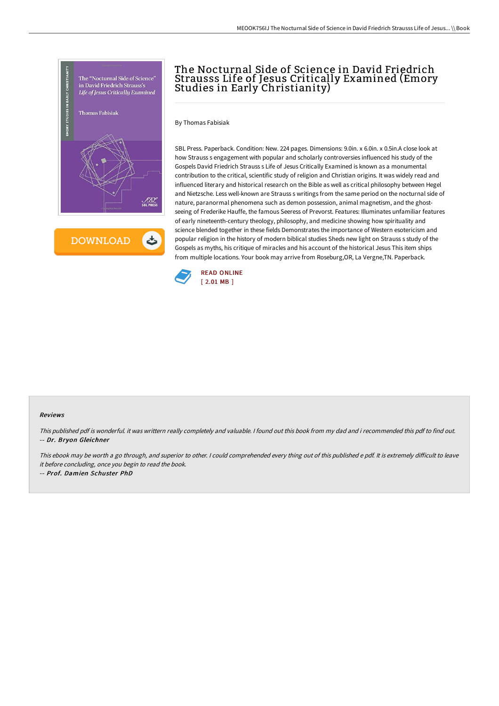

**DOWNLOAD** 

ٹ

# The Nocturnal Side of Science in David Friedrich Strausss Life of Jesus Critically Examined (Emory Studies in Early Christianity)

By Thomas Fabisiak

SBL Press. Paperback. Condition: New. 224 pages. Dimensions: 9.0in. x 6.0in. x 0.5in.A close look at how Strauss s engagement with popular and scholarly controversies influenced his study of the Gospels David Friedrich Strauss s Life of Jesus Critically Examined is known as a monumental contribution to the critical, scientific study of religion and Christian origins. It was widely read and influenced literary and historical research on the Bible as well as critical philosophy between Hegel and Nietzsche. Less well-known are Strauss s writings from the same period on the nocturnal side of nature, paranormal phenomena such as demon possession, animal magnetism, and the ghostseeing of Frederike Hauffe, the famous Seeress of Prevorst. Features: Illuminates unfamiliar features of early nineteenth-century theology, philosophy, and medicine showing how spirituality and science blended together in these fields Demonstrates the importance of Western esotericism and popular religion in the history of modern biblical studies Sheds new light on Strauss s study of the Gospels as myths, his critique of miracles and his account of the historical Jesus This item ships from multiple locations. Your book may arrive from Roseburg,OR, La Vergne,TN. Paperback.



#### Reviews

This published pdf is wonderful. it was writtern really completely and valuable. I found out this book from my dad and i recommended this pdf to find out. -- Dr. Bryon Gleichner

This ebook may be worth a go through, and superior to other. I could comprehended every thing out of this published e pdf. It is extremely difficult to leave it before concluding, once you begin to read the book.

-- Prof. Damien Schuster PhD